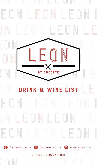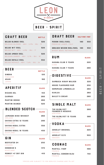

Beer - spirit

## **CRAFT BEER** BOTTLE

| <b>BELGO BLONDE 33CL</b>               | 320 |
|----------------------------------------|-----|
| BELGIAN BLONDE - ABV : 5,9% - IBU : 19 |     |
| <b>BELGO WIT 33CL</b>                  | 320 |
| BELGO WIT - ABV : 4,8% - IBU : 17      |     |
| <b>BELGO AMBER 33CL</b>                | 320 |
| BELGIAN AMBER - ABV : 5,1% - IBU : 18  |     |
| <b>BELGO ROYALE 33CL</b>               | 350 |
| BELGO ROYALE - ABV : 7.6% - IBU : 24   |     |

| BEER          | <b>BOTTLE</b> |
|---------------|---------------|
| <b>SINGHA</b> | 120           |
| THAII AND     |               |
| <b>ASAHI</b>  | 160           |
| JAPAN         |               |
|               |               |

| <b>APERITIF</b>       | <b>GLASS</b> |
|-----------------------|--------------|
| RICARD 2CL            | 150          |
| <b>CAMPARI</b>        | 260          |
| <b>MARTINI ROSSO</b>  | 260          |
| <b>MARTINI BIANCO</b> | 320          |

### -BLENDED SCOTCH-

|                                                 | GIASS |
|-------------------------------------------------|-------|
| <b>JAMESON IRISH WHISKEY</b><br><b>IREI AND</b> | 260   |
| CHIVAS EXTRA 12 YEARS<br>SCOTI AND              | 280   |
| <b>CHIVAS REGAL EXTRA</b><br>SCOTI AND          | 350   |
| <b>CHIVAS REGAL 18 YEARS</b><br>SCOTI AND       | 450   |

| GIN                      | <b>GLASS</b> |
|--------------------------|--------------|
| <b>BEEFEATER 24</b>      | 250          |
| <b>IONDON</b>            |              |
| <b>HENDRICK'S</b>        | 370          |
| SCOTI AND                |              |
| <b>MONKEY 47 DRY GIN</b> | 410          |
| GERMANY                  |              |

# DRAFT BEER HALF-PINT/ PINT

| <b>PERONI 30CL/50CL</b><br>PREMIUM LAGER, ITALY         | 180 | 350 |
|---------------------------------------------------------|-----|-----|
| GROLSCH WEIZEN 30CL/50CL 180<br>WHEAT BEER. NETHERLANDS |     | 350 |

### RUM GLASS

| <b>HAVANA CLUB 3 YEARS</b><br>CUBA |  |  | 220 |
|------------------------------------|--|--|-----|
| <b>HAVANA CLUB 7 YEARS</b>         |  |  | 280 |
| CUBA                               |  |  |     |

#### $-DIGESTIVE$

|                            | <b>GLASS</b> |
|----------------------------|--------------|
| SAMBUCA HIRAM WALKER       | 220          |
| <b>HOUSE FLAVOURED RUM</b> | 250          |
| <b>HOMEMADE LIMONCELLO</b> | 260          |
| <b>KAHLUA</b>              | 260          |
| <b>BAILEY'S CREAM</b>      | 280          |

# SINGLE MALT GLASS

| <b>THE GLENLIVET</b><br><b>FOUNDER'S RESERVE</b> | 280 |
|--------------------------------------------------|-----|
| SPEYSIDE                                         |     |
| THE GLENLIVET 15 YEARS                           | 590 |
| SPEYSIDE                                         |     |

# $\neg$ vodka $\neg$

| -------                 | <b>GLASS</b> |
|-------------------------|--------------|
| <b>ABSOLUT ORIGINAL</b> | 220          |
| SWEDEN                  |              |
| <b>ABSOLUT ELYX</b>     | 300          |
| SWEDEN                  |              |

# COGNAC GLASS

| <b>MARTELL VSOP</b>                  | 490 |
|--------------------------------------|-----|
| FRANCE<br><b>MARTELL CORDON BLEU</b> | 750 |
| FRANCE                               |     |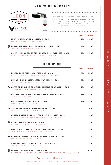# red wine Coravin



CORAVIN<sup>®</sup> Stop opening, start tasting.

The Coravin Wine System uses a technology that allows you to pour some exclusive wines by the glass, without pulling the cork. Below find what our wine connoisseur selected for your delight

|                                                                                                   |     | <b>GLASS /BOTTLE</b> |
|---------------------------------------------------------------------------------------------------|-----|----------------------|
| EPISTEM NO.3, ATLAN & ARTISAN $\cdot$ 2015<br>SYRAH, MONASTRELL, YECLA, SPAIN                     | 490 | 2.290                |
| \$<br>BOURGOGNE PINOT NOIR, DOMAINE DELIANCE · 2016<br>PINOT NOIR, BURGUNDY, FRANCE               | 590 | 2.590                |
| SAINT- EMILION GRAND CRU, CHATEAU LA RÉVERENCE · 2016<br>MERLOT, CABERNET FRANC, BORDEAUX, FRANCE | 590 | 2.590                |

|                                                                                                   |     | <b>GLASS /BOTTLE</b> |
|---------------------------------------------------------------------------------------------------|-----|----------------------|
| <b>BORDEAUX LA FLEUR CHARTRON AOC · 2016</b><br>MERLOT, CABERNET SAUVIGNON, BORDEAUX, FRANCE      | 260 | 1.190                |
| SHIRAZ I AM GEORGE. GEORGE WYNDHAM · 2018<br>SHIRAZ, LANGHORNE CREEK, AUSTRALIA                   | 290 | 1.390                |
| CÔTES DU RHÔNE LA CHAPELLE, DOMAINE DUSEIGNEUR · 2015<br>GRENACHE, SYRAH, RHÔNE VALLEY, FRANCE    | 300 | 1,490                |
| CHIANTI TENUTA SETTE PONTI VIGNA DI PALLINO · 2017<br>SANGIOVESE, TUSCANY, ITALY                  | 320 | 1,590                |
| RIOJA RESERVA, CAMPO VIEJO · 2014<br>TEMPRANILLO, RIOJA, SPAIN                                    | 350 | 1.590                |
| SHIRAZ FRANKLAND ESTATE ROCKY GULLY · 2017<br>SHIRAZ, VIOGNIER, WESTERN AUSTRALIA                 |     | 1,890                |
| CHATEAU CROIX DE LABRIE, CAMILLE DE LABRIE · 2016<br>MERLOT, CABERNET SAUVIGNON, BORDEAUX, FRANCE |     | 1.990                |
| ALPAMANTA MALBEC NATAL . 2018<br>MALBEC, LUJAN DE CUYO, ARGENTINA                                 |     | 1.990                |
| PINOT NOIR LETTER 'T' SERIES, BRANCOTT ESTATE . 2017<br>PINOT NOIR, MARLBOROUGH, NEW ZEALAND      |     | 2.790                |
| CROZES-HERMITAGE, DOMAINE LAURENT HABRARD · 2017<br>SYRAH, RHÔNE VALLEY, FRANCE                   |     | 3,190                |
| AMARONE DELLA VALPOLICELLA, TEDESCHI · 2015<br>CORVINA BLEND, VENETO, ITALY                       |     | 3.990                |
| POMEROL. CHATEAU MAZEYRES . 2013<br>CABERNET SAUVIGNON, MERLOT, CABERNET FRANC, BORDEAUX, FRANCE  |     | 4.190                |

\*Prices are subject to 10% Service charge and 7% VAT **ORGANIC** BIODYNAMIC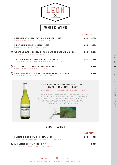

WHITE WINE

|                                                                                                      |     | <b>GLASS /BOTTLE</b> |
|------------------------------------------------------------------------------------------------------|-----|----------------------|
| <b>CHARDONNAY, GEORGE WYNDHAM BIN 222 · 2018</b><br>CHARDONNAY, SOUTH EASTERN AUSTRALIA              | 280 | 1.290                |
| PINOT GRIGIO VILLA MARTINA · 2018<br>PINOT GRIGIO, FRIULI VENEZIA GIULIA, ITALY                      | 290 | 1,390                |
| \$<br>"JUSTE LE BLANC" BORDEAUX AOC, CAVE DU MARMANDAIS · 2018<br>COLOMBARD, SAUVIGNON BLANC, FRANCE | 300 | 1.490                |
| SAUVIGNON BLANC, BRANCOTT ESTATE . 2019<br>SAUVIGNON BLANC, MARLBOROUGH, NEW ZEALAND                 | 340 | 1.590                |
| PETIT CHABLIS JEAN MARC BROCARD · 2018<br>CHARDONNAY, BURGUNDY, FRANCE                               |     | 2.390                |
| \$<br>POUILLY-FUMÉ CUVÉE JULES, DOMAINE FOUASSIER · 2016<br>SAUVIGNON BLANC, LOIRE VALLEY, FRANCE    |     | 2.390                |

#### SAUVIGNON BLANC, BRANCOTT ESTATE · 2019 glass - 340 /bottle - 1,590

Sauvignon Blanc, Marlborough, New Zealand

Wines in the Brancott Estate range are considered the benchmark of New Zealand varietal winemaking and have an international reputation for quality and consistency. Each wine is crafted in a style that epitomises the unique character and flavour of the growing region.



| ROSE WINE                                                                                |                      |       |
|------------------------------------------------------------------------------------------|----------------------|-------|
|                                                                                          | <b>GLASS /BOTTLE</b> |       |
| RAVOIRE & FILS DOMAINE FONTVAL $\cdot$ 2018<br>GRENACHE, MOURVEDRE, MEDITERRANEE, FRANCE | 260                  | 1.190 |
| LA BASTIDE DES OLIVIERS · 2017<br>GRENACHE, CINSAULT, PROVENCE, FRANCE                   |                      | 2.190 |

ш